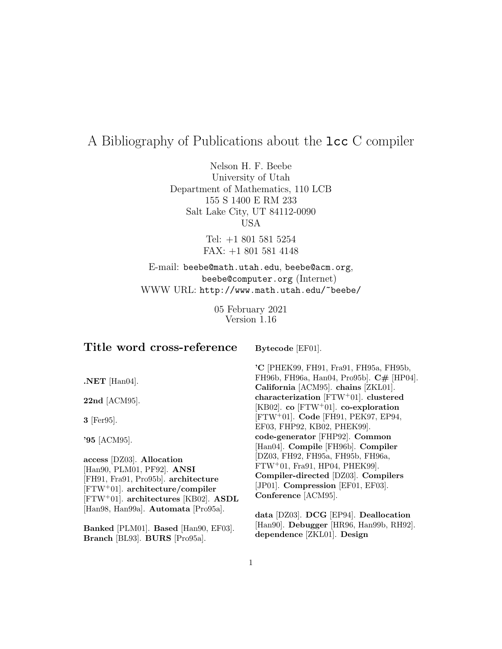# A Bibliography of Publications about the lcc C compiler

Nelson H. F. Beebe University of Utah Department of Mathematics, 110 LCB 155 S 1400 E RM 233 Salt Lake City, UT 84112-0090 USA

> Tel: +1 801 581 5254 FAX: +1 801 581 4148

E-mail: beebe@math.utah.edu, beebe@acm.org, beebe@computer.org (Internet) WWW URL: http://www.math.utah.edu/~beebe/

> 05 February 2021 Version 1.16

## **Title word cross-reference**

**Bytecode** [EF01].

**.NET** [Han04].

**22nd** [ACM95].

**3** [Fer95].

**'95** [ACM95].

**access** [DZ03]. **Allocation** [Han90, PLM01, PF92]. **ANSI** [FH91, Fra91, Pro95b]. **architecture** [FTW<sup>+</sup>01]. **architecture/compiler** [FTW<sup>+</sup>01]. **architectures** [KB02]. **ASDL** [Han98, Han99a]. **Automata** [Pro95a].

**Banked** [PLM01]. **Based** [Han90, EF03]. **Branch** [BL93]. **BURS** [Pro95a].

**'C** [PHEK99, FH91, Fra91, FH95a, FH95b, FH96b, FH96a, Han04, Pro95b]. **C#** [HP04]. **California** [ACM95]. **chains** [ZKL01]. **characterization** [FTW<sup>+</sup>01]. **clustered** [KB02]. **co** [FTW<sup>+</sup>01]. **co-exploration** [FTW<sup>+</sup>01]. **Code** [FH91, PEK97, EP94, EF03, FHP92, KB02, PHEK99]. **code-generator** [FHP92]. **Common** [Han04]. **Compile** [FH96b]. **Compiler** [DZ03, FH92, FH95a, FH95b, FH96a, FTW<sup>+</sup>01, Fra91, HP04, PHEK99]. **Compiler-directed** [DZ03]. **Compilers** [JP01]. **Compression** [EF01, EF03]. **Conference** [ACM95].

**data** [DZ03]. **DCG** [EP94]. **Deallocation** [Han90]. **Debugger** [HR96, Han99b, RH92]. **dependence** [ZKL01]. **Design**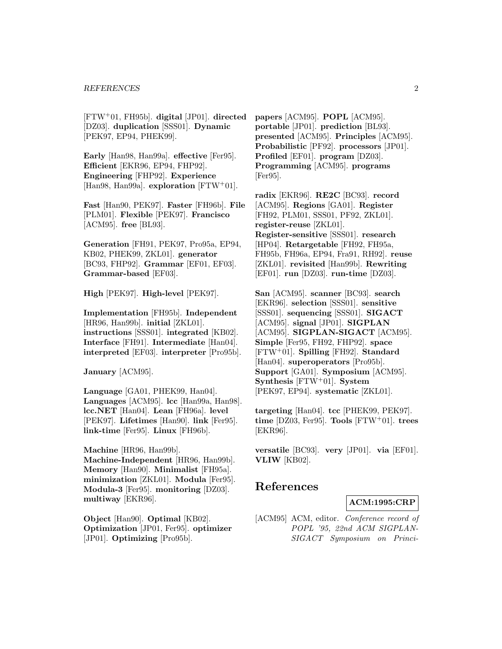#### *REFERENCES* 2

[FTW<sup>+</sup>01, FH95b]. **digital** [JP01]. **directed** [DZ03]. **duplication** [SSS01]. **Dynamic** [PEK97, EP94, PHEK99].

**Early** [Han98, Han99a]. **effective** [Fer95]. **Efficient** [EKR96, EP94, FHP92]. **Engineering** [FHP92]. **Experience** [Han98, Han99a]. **exploration** [FTW<sup>+</sup>01].

**Fast** [Han90, PEK97]. **Faster** [FH96b]. **File** [PLM01]. **Flexible** [PEK97]. **Francisco** [ACM95]. **free** [BL93].

**Generation** [FH91, PEK97, Pro95a, EP94, KB02, PHEK99, ZKL01]. **generator** [BC93, FHP92]. **Grammar** [EF01, EF03]. **Grammar-based** [EF03].

**High** [PEK97]. **High-level** [PEK97].

**Implementation** [FH95b]. **Independent** [HR96, Han99b]. **initial** [ZKL01]. **instructions** [SSS01]. **integrated** [KB02]. **Interface** [FH91]. **Intermediate** [Han04]. **interpreted** [EF03]. **interpreter** [Pro95b].

**January** [ACM95].

**Language** [GA01, PHEK99, Han04]. **Languages** [ACM95]. **lcc** [Han99a, Han98]. **lcc.NET** [Han04]. **Lean** [FH96a]. **level** [PEK97]. **Lifetimes** [Han90]. **link** [Fer95]. **link-time** [Fer95]. **Linux** [FH96b].

**Machine** [HR96, Han99b]. **Machine-Independent** [HR96, Han99b]. **Memory** [Han90]. **Minimalist** [FH95a]. **minimization** [ZKL01]. **Modula** [Fer95]. **Modula-3** [Fer95]. **monitoring** [DZ03]. **multiway** [EKR96].

**Object** [Han90]. **Optimal** [KB02]. **Optimization** [JP01, Fer95]. **optimizer** [JP01]. **Optimizing** [Pro95b].

**papers** [ACM95]. **POPL** [ACM95]. **portable** [JP01]. **prediction** [BL93]. **presented** [ACM95]. **Principles** [ACM95]. **Probabilistic** [PF92]. **processors** [JP01]. **Profiled** [EF01]. **program** [DZ03]. **Programming** [ACM95]. **programs** [Fer95].

**radix** [EKR96]. **RE2C** [BC93]. **record** [ACM95]. **Regions** [GA01]. **Register** [FH92, PLM01, SSS01, PF92, ZKL01]. **register-reuse** [ZKL01]. **Register-sensitive** [SSS01]. **research** [HP04]. **Retargetable** [FH92, FH95a, FH95b, FH96a, EP94, Fra91, RH92]. **reuse** [ZKL01]. **revisited** [Han99b]. **Rewriting** [EF01]. **run** [DZ03]. **run-time** [DZ03].

**San** [ACM95]. **scanner** [BC93]. **search** [EKR96]. **selection** [SSS01]. **sensitive** [SSS01]. **sequencing** [SSS01]. **SIGACT** [ACM95]. **signal** [JP01]. **SIGPLAN** [ACM95]. **SIGPLAN-SIGACT** [ACM95]. **Simple** [Fer95, FH92, FHP92]. **space** [FTW<sup>+</sup>01]. **Spilling** [FH92]. **Standard** [Han04]. **superoperators** [Pro95b]. **Support** [GA01]. **Symposium** [ACM95]. **Synthesis** [FTW<sup>+</sup>01]. **System** [PEK97, EP94]. **systematic** [ZKL01].

**targeting** [Han04]. **tcc** [PHEK99, PEK97]. **time** [DZ03, Fer95]. **Tools** [FTW<sup>+</sup>01]. **trees** [EKR96].

**versatile** [BC93]. **very** [JP01]. **via** [EF01]. **VLIW** [KB02].

## **References**

**ACM:1995:CRP**

[ACM95] ACM, editor. Conference record of POPL '95, 22nd ACM SIGPLAN-SIGACT Symposium on Princi-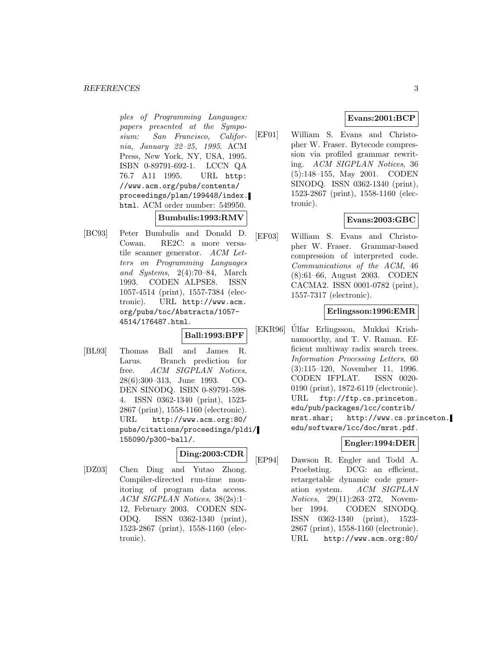#### *REFERENCES* 3

ples of Programming Languages: papers presented at the Symposium: San Francisco, California, January 22–25, 1995. ACM Press, New York, NY, USA, 1995. ISBN 0-89791-692-1. LCCN QA 76.7 A11 1995. URL http: //www.acm.org/pubs/contents/ proceedings/plan/199448/index. html. ACM order number: 549950.

**Bumbulis:1993:RMV**

[BC93] Peter Bumbulis and Donald D. Cowan. RE2C: a more versatile scanner generator. ACM Letters on Programming Languages and Systems, 2(4):70–84, March 1993. CODEN ALPSE8. ISSN 1057-4514 (print), 1557-7384 (electronic). URL http://www.acm. org/pubs/toc/Abstracts/1057- 4514/176487.html.

**Ball:1993:BPF**

[BL93] Thomas Ball and James R. Larus. Branch prediction for free. ACM SIGPLAN Notices, 28(6):300–313, June 1993. CO-DEN SINODQ. ISBN 0-89791-598- 4. ISSN 0362-1340 (print), 1523- 2867 (print), 1558-1160 (electronic). URL http://www.acm.org:80/ pubs/citations/proceedings/pldi/ 155090/p300-ball/.

## **Ding:2003:CDR**

[DZ03] Chen Ding and Yutao Zhong. Compiler-directed run-time monitoring of program data access. ACM SIGPLAN Notices, 38(2s):1– 12, February 2003. CODEN SIN-ODQ. ISSN 0362-1340 (print), 1523-2867 (print), 1558-1160 (electronic).

## **Evans:2001:BCP**

[EF01] William S. Evans and Christopher W. Fraser. Bytecode compression via profiled grammar rewriting. ACM SIGPLAN Notices, 36 (5):148–155, May 2001. CODEN SINODQ. ISSN 0362-1340 (print), 1523-2867 (print), 1558-1160 (electronic).

## **Evans:2003:GBC**

[EF03] William S. Evans and Christopher W. Fraser. Grammar-based compression of interpreted code. Communications of the ACM, 46 (8):61–66, August 2003. CODEN CACMA2. ISSN 0001-0782 (print), 1557-7317 (electronic).

## **Erlingsson:1996:EMR**

[EKR96] Úlfar Erlingsson, Mukkai Krishnamoorthy, and T. V. Raman. Efficient multiway radix search trees. Information Processing Letters, 60 (3):115–120, November 11, 1996. CODEN IFPLAT. ISSN 0020- 0190 (print), 1872-6119 (electronic). URL ftp://ftp.cs.princeton. edu/pub/packages/lcc/contrib/ mrst.shar; http://www.cs.princeton. edu/software/lcc/doc/mrst.pdf.

## **Engler:1994:DER**

[EP94] Dawson R. Engler and Todd A. Proebsting. DCG: an efficient, retargetable dynamic code generation system. ACM SIGPLAN Notices, 29(11):263–272, November 1994. CODEN SINODQ. ISSN 0362-1340 (print), 1523- 2867 (print), 1558-1160 (electronic). URL http://www.acm.org:80/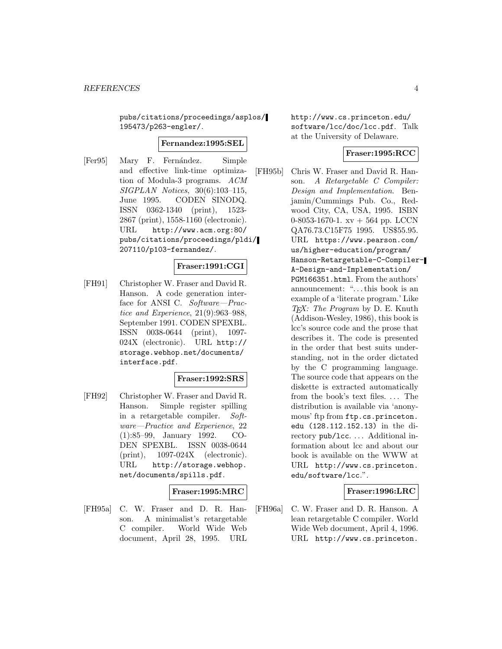pubs/citations/proceedings/asplos/ 195473/p263-engler/.

#### **Fernandez:1995:SEL**

[Fer95] Mary F. Fernández. Simple and effective link-time optimization of Modula-3 programs. ACM SIGPLAN Notices, 30(6):103–115, June 1995. CODEN SINODQ. ISSN 0362-1340 (print), 1523- 2867 (print), 1558-1160 (electronic). URL http://www.acm.org:80/ pubs/citations/proceedings/pldi/ 207110/p103-fernandez/.

## **Fraser:1991:CGI**

[FH91] Christopher W. Fraser and David R. Hanson. A code generation interface for ANSI C. Software—Practice and Experience, 21(9):963–988, September 1991. CODEN SPEXBL. ISSN 0038-0644 (print), 1097- 024X (electronic). URL http:// storage.webhop.net/documents/ interface.pdf.

## **Fraser:1992:SRS**

[FH92] Christopher W. Fraser and David R. Hanson. Simple register spilling in a retargetable compiler. Software—Practice and Experience, 22 (1):85–99, January 1992. CO-DEN SPEXBL. ISSN 0038-0644 (print), 1097-024X (electronic). URL http://storage.webhop. net/documents/spills.pdf.

## **Fraser:1995:MRC**

[FH95a] C. W. Fraser and D. R. Hanson. A minimalist's retargetable C compiler. World Wide Web document, April 28, 1995. URL

http://www.cs.princeton.edu/ software/lcc/doc/lcc.pdf. Talk at the University of Delaware.

## **Fraser:1995:RCC**

[FH95b] Chris W. Fraser and David R. Hanson. A Retargetable C Compiler: Design and Implementation. Benjamin/Cummings Pub. Co., Redwood City, CA, USA, 1995. ISBN 0-8053-1670-1. xv + 564 pp. LCCN QA76.73.C15F75 1995. US\$55.95. URL https://www.pearson.com/ us/higher-education/program/ Hanson-Retargetable-C-Compiler-A-Design-and-Implementation/ PGM166351.html. From the authors' announcement: "...this book is an example of a 'literate program.' Like  $T_F X$ : The Program by D. E. Knuth (Addison-Wesley, 1986), this book is lcc's source code and the prose that describes it. The code is presented in the order that best suits understanding, not in the order dictated by the C programming language. The source code that appears on the diskette is extracted automatically from the book's text files. ... The distribution is available via 'anonymous' ftp from ftp.cs.princeton. edu (128.112.152.13) in the directory pub/lcc. ... Additional information about lcc and about our book is available on the WWW at URL http://www.cs.princeton. edu/software/lcc.".

#### **Fraser:1996:LRC**

[FH96a] C. W. Fraser and D. R. Hanson. A lean retargetable C compiler. World Wide Web document, April 4, 1996. URL http://www.cs.princeton.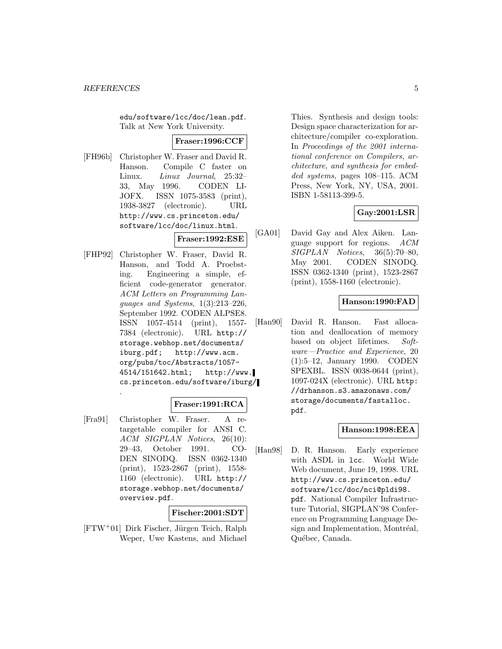edu/software/lcc/doc/lean.pdf. Talk at New York University.

#### **Fraser:1996:CCF**

[FH96b] Christopher W. Fraser and David R. Hanson. Compile C faster on Linux. Linux Journal, 25:32– 33, May 1996. CODEN LI-JOFX. ISSN 1075-3583 (print), 1938-3827 (electronic). URL http://www.cs.princeton.edu/ software/lcc/doc/linux.html.

## **Fraser:1992:ESE**

[FHP92] Christopher W. Fraser, David R. Hanson, and Todd A. Proebsting. Engineering a simple, efficient code-generator generator. ACM Letters on Programming Languages and Systems, 1(3):213–226, September 1992. CODEN ALPSE8. ISSN 1057-4514 (print), 1557- 7384 (electronic). URL http:// storage.webhop.net/documents/ iburg.pdf; http://www.acm. org/pubs/toc/Abstracts/1057- 4514/151642.html; http://www. cs.princeton.edu/software/iburg/ .

## **Fraser:1991:RCA**

[Fra91] Christopher W. Fraser. A retargetable compiler for ANSI C. ACM SIGPLAN Notices, 26(10): 29–43, October 1991. CO-DEN SINODQ. ISSN 0362-1340 (print), 1523-2867 (print), 1558- 1160 (electronic). URL http:// storage.webhop.net/documents/ overview.pdf.

## **Fischer:2001:SDT**

 $[FTW^+01]$  Dirk Fischer, Jürgen Teich, Ralph Weper, Uwe Kastens, and Michael

Thies. Synthesis and design tools: Design space characterization for architecture/compiler co-exploration. In Proceedings of the 2001 international conference on Compilers, architecture, and synthesis for embedded systems, pages 108–115. ACM Press, New York, NY, USA, 2001. ISBN 1-58113-399-5.

## **Gay:2001:LSR**

[GA01] David Gay and Alex Aiken. Language support for regions. ACM  $SIGPLAN \; Notice, \; 36(5):70-80,$ May 2001. CODEN SINODQ. ISSN 0362-1340 (print), 1523-2867 (print), 1558-1160 (electronic).

## **Hanson:1990:FAD**

[Han90] David R. Hanson. Fast allocation and deallocation of memory based on object lifetimes. Software—Practice and Experience, 20 (1):5–12, January 1990. CODEN SPEXBL. ISSN 0038-0644 (print), 1097-024X (electronic). URL http: //drhanson.s3.amazonaws.com/ storage/documents/fastalloc. pdf.

## **Hanson:1998:EEA**

[Han98] D. R. Hanson. Early experience with ASDL in lcc. World Wide Web document, June 19, 1998. URL http://www.cs.princeton.edu/ software/lcc/doc/nci@pldi98. pdf. National Compiler Infrastructure Tutorial, SIGPLAN'98 Conference on Programming Language Design and Implementation, Montréal, Québec, Canada.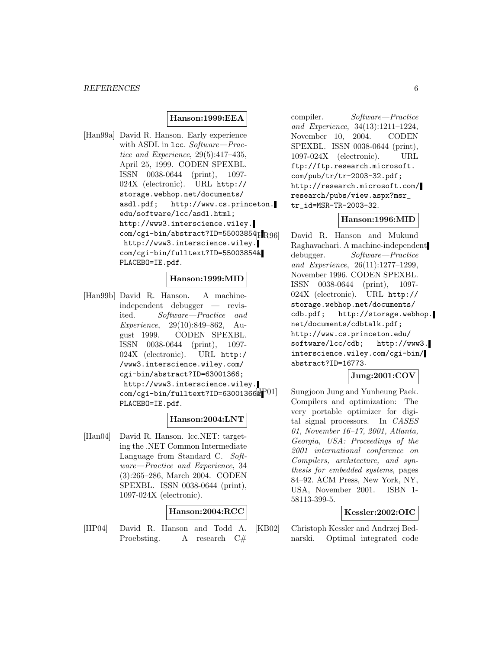#### **Hanson:1999:EEA**

[Han99a] David R. Hanson. Early experience with ASDL in 1cc. Software-Practice and Experience, 29(5):417–435, April 25, 1999. CODEN SPEXBL. ISSN 0038-0644 (print), 1097- 024X (electronic). URL http:// storage.webhop.net/documents/ asdl.pdf; http://www.cs.princeton. edu/software/lcc/asdl.html; http://www3.interscience.wiley. com/cgi-bin/abstract?ID=55003854HR96] http://www3.interscience.wiley. com/cgi-bin/fulltext?ID=55003854& PLACEBO=IE.pdf.

#### **Hanson:1999:MID**

[Han99b] David R. Hanson. A machineindependent debugger — revisited. Software—Practice and Experience, 29(10):849–862, August 1999. CODEN SPEXBL. ISSN 0038-0644 (print), 1097- 024X (electronic). URL http:/ /www3.interscience.wiley.com/ cgi-bin/abstract?ID=63001366; http://www3.interscience.wiley.  $com/cgi-bin/fulltext?ID=63001366$ PLACEBO=IE.pdf.

## **Hanson:2004:LNT**

[Han04] David R. Hanson. lcc.NET: targeting the .NET Common Intermediate Language from Standard C. Software—Practice and Experience, 34 (3):265–286, March 2004. CODEN SPEXBL. ISSN 0038-0644 (print), 1097-024X (electronic).

#### **Hanson:2004:RCC**

[HP04] David R. Hanson and Todd A. Proebsting. A research  $C#$ 

compiler. Software—Practice and Experience, 34(13):1211–1224, November 10, 2004. CODEN SPEXBL. ISSN 0038-0644 (print), 1097-024X (electronic). URL ftp://ftp.research.microsoft. com/pub/tr/tr-2003-32.pdf; http://research.microsoft.com/ research/pubs/view.aspx?msr\_ tr\_id=MSR-TR-2003-32.

#### **Hanson:1996:MID**

David R. Hanson and Mukund Raghavachari. A machine-independent debugger. Software—Practice and Experience, 26(11):1277–1299, November 1996. CODEN SPEXBL. ISSN 0038-0644 (print), 1097- 024X (electronic). URL http:// storage.webhop.net/documents/ cdb.pdf; http://storage.webhop. net/documents/cdbtalk.pdf; http://www.cs.princeton.edu/ software/lcc/cdb; http://www3. interscience.wiley.com/cgi-bin/ abstract?ID=16773.

## **Jung:2001:COV**

Sungjoon Jung and Yunheung Paek. Compilers and optimization: The very portable optimizer for digital signal processors. In CASES 01, November 16–17, 2001, Atlanta, Georgia, USA: Proceedings of the 2001 international conference on Compilers, architecture, and synthesis for embedded systems, pages 84–92. ACM Press, New York, NY, USA, November 2001. ISBN 1- 58113-399-5.

## **Kessler:2002:OIC**

[KB02] Christoph Kessler and Andrzej Bednarski. Optimal integrated code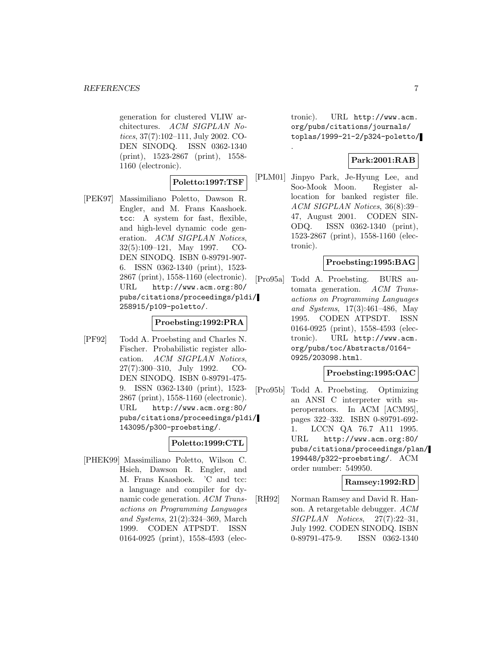generation for clustered VLIW architectures. ACM SIGPLAN Notices, 37(7):102–111, July 2002. CO-DEN SINODQ. ISSN 0362-1340 (print), 1523-2867 (print), 1558- 1160 (electronic).

## **Poletto:1997:TSF**

[PEK97] Massimiliano Poletto, Dawson R. Engler, and M. Frans Kaashoek. tcc: A system for fast, flexible, and high-level dynamic code generation. ACM SIGPLAN Notices, 32(5):109–121, May 1997. CO-DEN SINODQ. ISBN 0-89791-907- 6. ISSN 0362-1340 (print), 1523- 2867 (print), 1558-1160 (electronic). URL http://www.acm.org:80/ pubs/citations/proceedings/pldi/ 258915/p109-poletto/.

## **Proebsting:1992:PRA**

[PF92] Todd A. Proebsting and Charles N. Fischer. Probabilistic register allocation. ACM SIGPLAN Notices, 27(7):300–310, July 1992. CO-DEN SINODQ. ISBN 0-89791-475- 9. ISSN 0362-1340 (print), 1523- 2867 (print), 1558-1160 (electronic). URL http://www.acm.org:80/ pubs/citations/proceedings/pldi/ 143095/p300-proebsting/.

## **Poletto:1999:CTL**

[PHEK99] Massimiliano Poletto, Wilson C. Hsieh, Dawson R. Engler, and M. Frans Kaashoek. 'C and tcc: a language and compiler for dynamic code generation. ACM Transactions on Programming Languages and Systems, 21(2):324–369, March 1999. CODEN ATPSDT. ISSN 0164-0925 (print), 1558-4593 (electronic). URL http://www.acm. org/pubs/citations/journals/ toplas/1999-21-2/p324-poletto/

## **Park:2001:RAB**

[PLM01] Jinpyo Park, Je-Hyung Lee, and Soo-Mook Moon. Register allocation for banked register file. ACM SIGPLAN Notices, 36(8):39– 47, August 2001. CODEN SIN-ODQ. ISSN 0362-1340 (print), 1523-2867 (print), 1558-1160 (electronic).

.

## **Proebsting:1995:BAG**

[Pro95a] Todd A. Proebsting. BURS automata generation. ACM Transactions on Programming Languages and Systems, 17(3):461–486, May 1995. CODEN ATPSDT. ISSN 0164-0925 (print), 1558-4593 (electronic). URL http://www.acm. org/pubs/toc/Abstracts/0164- 0925/203098.html.

#### **Proebsting:1995:OAC**

[Pro95b] Todd A. Proebsting. Optimizing an ANSI C interpreter with superoperators. In ACM [ACM95], pages 322–332. ISBN 0-89791-692- 1. LCCN QA 76.7 A11 1995. URL http://www.acm.org:80/ pubs/citations/proceedings/plan/ 199448/p322-proebsting/. ACM order number: 549950.

## **Ramsey:1992:RD**

[RH92] Norman Ramsey and David R. Hanson. A retargetable debugger. ACM  $SIGPLAN \; Notice 8, \; 27(7):22-31,$ July 1992. CODEN SINODQ. ISBN 0-89791-475-9. ISSN 0362-1340